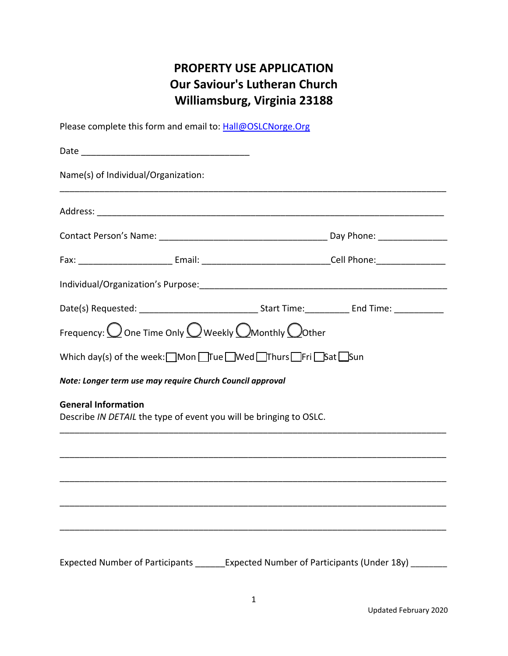# **PROPERTY USE APPLICATION Our Saviour's Lutheran Church Williamsburg, Virginia 23188**

Please complete this form and email to: Hall@OSLCNorge.Org

| Name(s) of Individual/Organization:                                                              |                                                                                                                |
|--------------------------------------------------------------------------------------------------|----------------------------------------------------------------------------------------------------------------|
|                                                                                                  |                                                                                                                |
|                                                                                                  |                                                                                                                |
|                                                                                                  | Fax: ______________________________Email: ___________________________________Cell Phone: _____________________ |
|                                                                                                  |                                                                                                                |
|                                                                                                  |                                                                                                                |
| Frequency: $\bigcirc$ One Time Only $\bigcirc$ Weekly $\bigcirc$ Monthly $\bigcirc$ Other        |                                                                                                                |
| Which day(s) of the week: Mon True Wed Thurs Fri Sat Sun                                         |                                                                                                                |
| Note: Longer term use may require Church Council approval                                        |                                                                                                                |
| <b>General Information</b><br>Describe IN DETAIL the type of event you will be bringing to OSLC. |                                                                                                                |
|                                                                                                  |                                                                                                                |
|                                                                                                  |                                                                                                                |
|                                                                                                  |                                                                                                                |
|                                                                                                  |                                                                                                                |
|                                                                                                  |                                                                                                                |
|                                                                                                  | Expected Number of Participants _______Expected Number of Participants (Under 18y) ______                      |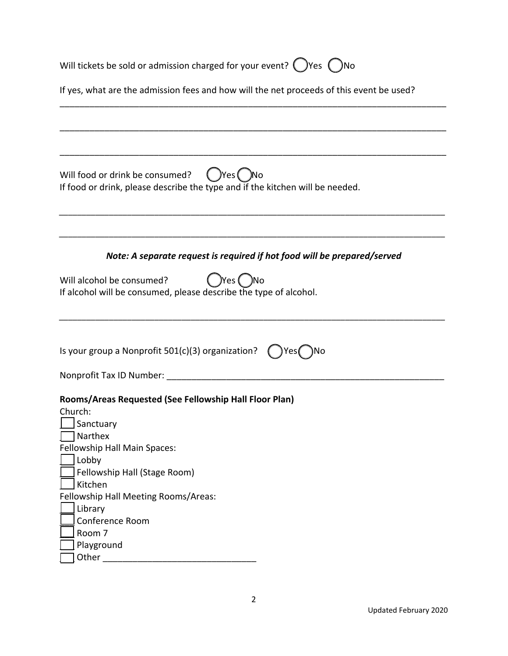| Will tickets be sold or admission charged for your event? $($ )Yes $($ )No                                                                                                                                                                          |  |  |
|-----------------------------------------------------------------------------------------------------------------------------------------------------------------------------------------------------------------------------------------------------|--|--|
| If yes, what are the admission fees and how will the net proceeds of this event be used?                                                                                                                                                            |  |  |
|                                                                                                                                                                                                                                                     |  |  |
| Will food or drink be consumed?<br>( )Yes ( )No<br>If food or drink, please describe the type and if the kitchen will be needed.                                                                                                                    |  |  |
| Note: A separate request is required if hot food will be prepared/served                                                                                                                                                                            |  |  |
| )Yes ( )No<br>Will alcohol be consumed?<br>If alcohol will be consumed, please describe the type of alcohol.                                                                                                                                        |  |  |
| Is your group a Nonprofit 501(c)(3) organization?<br>)Yes( )No                                                                                                                                                                                      |  |  |
| Nonprofit Tax ID Number: Nonprofit Tax                                                                                                                                                                                                              |  |  |
| Rooms/Areas Requested (See Fellowship Hall Floor Plan)<br>Church:<br>Sanctuary<br>Narthex<br>Fellowship Hall Main Spaces:<br>Lobby<br>Fellowship Hall (Stage Room)<br>Kitchen<br>Fellowship Hall Meeting Rooms/Areas:<br>Library<br>Conference Room |  |  |
| Room 7<br>Playground<br>Other                                                                                                                                                                                                                       |  |  |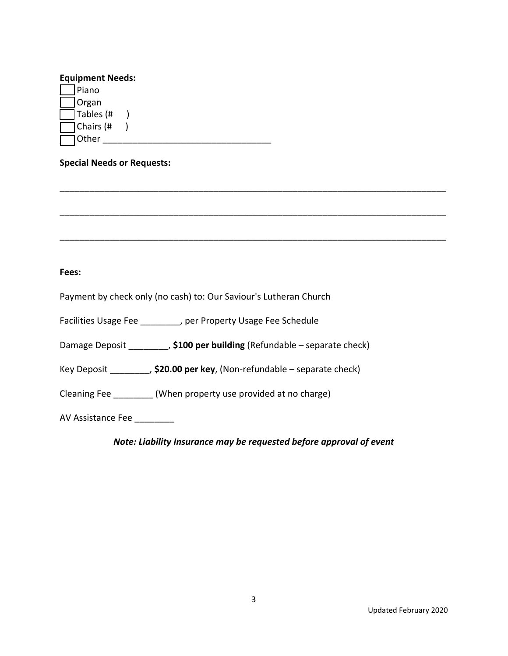## **Equipment Needs:**

| Piano     |  |
|-----------|--|
| Organ     |  |
| Tables (# |  |
| Chairs (# |  |
| 10ther    |  |

### **Special Needs or Requests:**

**Fees:** 

Payment by check only (no cash) to: Our Saviour's Lutheran Church

Facilities Usage Fee \_\_\_\_\_\_\_\_, per Property Usage Fee Schedule

Damage Deposit \_\_\_\_\_\_\_\_, **\$100 per building** (Refundable – separate check)

Key Deposit \_\_\_\_\_\_\_\_, **\$20.00 per key**, (Non‐refundable – separate check)

Cleaning Fee \_\_\_\_\_\_\_\_ (When property use provided at no charge)

AV Assistance Fee \_\_\_\_\_\_\_\_

*Note: Liability Insurance may be requested before approval of event* 

\_\_\_\_\_\_\_\_\_\_\_\_\_\_\_\_\_\_\_\_\_\_\_\_\_\_\_\_\_\_\_\_\_\_\_\_\_\_\_\_\_\_\_\_\_\_\_\_\_\_\_\_\_\_\_\_\_\_\_\_\_\_\_\_\_\_\_\_\_\_\_\_\_\_\_\_\_\_

\_\_\_\_\_\_\_\_\_\_\_\_\_\_\_\_\_\_\_\_\_\_\_\_\_\_\_\_\_\_\_\_\_\_\_\_\_\_\_\_\_\_\_\_\_\_\_\_\_\_\_\_\_\_\_\_\_\_\_\_\_\_\_\_\_\_\_\_\_\_\_\_\_\_\_\_\_\_

\_\_\_\_\_\_\_\_\_\_\_\_\_\_\_\_\_\_\_\_\_\_\_\_\_\_\_\_\_\_\_\_\_\_\_\_\_\_\_\_\_\_\_\_\_\_\_\_\_\_\_\_\_\_\_\_\_\_\_\_\_\_\_\_\_\_\_\_\_\_\_\_\_\_\_\_\_\_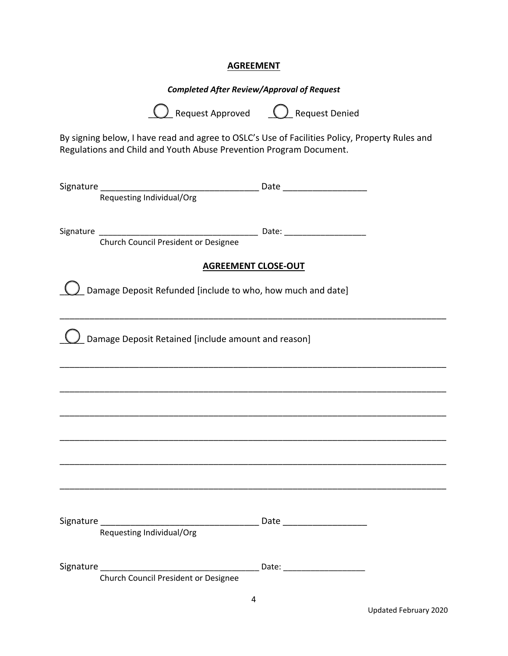#### **AGREEMENT**

## *Completed After Review/Approval of Request*

**Q** Request Approved **Q** Request Denied

By signing below, I have read and agree to OSLC's Use of Facilities Policy, Property Rules and Regulations and Child and Youth Abuse Prevention Program Document.

| Requesting Individual/Org                                   |  |  |  |
|-------------------------------------------------------------|--|--|--|
|                                                             |  |  |  |
| Church Council President or Designee                        |  |  |  |
| <b>AGREEMENT CLOSE-OUT</b>                                  |  |  |  |
| Damage Deposit Refunded [include to who, how much and date] |  |  |  |
| Damage Deposit Retained [include amount and reason]         |  |  |  |
|                                                             |  |  |  |
|                                                             |  |  |  |
|                                                             |  |  |  |
|                                                             |  |  |  |
|                                                             |  |  |  |
|                                                             |  |  |  |
| Signature _________<br>Requesting Individual/Org            |  |  |  |
|                                                             |  |  |  |
| Church Council President or Designee                        |  |  |  |
| $\overline{a}$                                              |  |  |  |